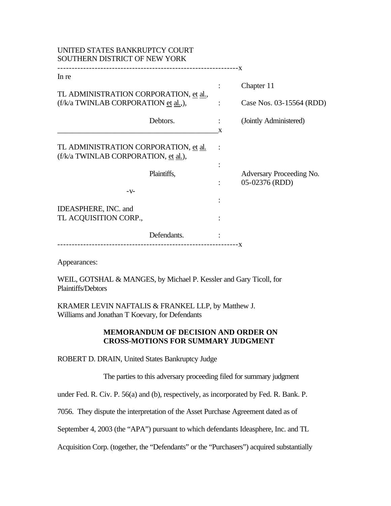| UNITED STATES BANKRUPTCY COURT<br>SOUTHERN DISTRICT OF NEW YORK               |  |   |                          |
|-------------------------------------------------------------------------------|--|---|--------------------------|
| In re                                                                         |  |   |                          |
|                                                                               |  |   | Chapter 11               |
| TL ADMINISTRATION CORPORATION, et al.,                                        |  |   |                          |
| (f/k/a TWINLAB CORPORATION et al.,),                                          |  |   | Case Nos. 03-15564 (RDD) |
| Debtors.                                                                      |  |   | (Jointly Administered)   |
|                                                                               |  | X |                          |
| TL ADMINISTRATION CORPORATION, et al.<br>(f/k/a TWINLAB CORPORATION, et al.), |  |   |                          |
|                                                                               |  |   |                          |
| Plaintiffs,                                                                   |  |   | Adversary Proceeding No. |
|                                                                               |  |   | 05-02376 (RDD)           |
| $-V$ -                                                                        |  |   |                          |
| <b>IDEASPHERE, INC. and</b>                                                   |  |   |                          |
| TL ACQUISITION CORP.,                                                         |  |   |                          |
|                                                                               |  |   |                          |
| Defendants.                                                                   |  |   |                          |
|                                                                               |  |   |                          |

Appearances:

WEIL, GOTSHAL & MANGES, by Michael P. Kessler and Gary Ticoll, for Plaintiffs/Debtors

KRAMER LEVIN NAFTALIS & FRANKEL LLP, by Matthew J. Williams and Jonathan T Koevary, for Defendants

## **MEMORANDUM OF DECISION AND ORDER ON CROSS-MOTIONS FOR SUMMARY JUDGMENT**

ROBERT D. DRAIN, United States Bankruptcy Judge

The parties to this adversary proceeding filed for summary judgment

under Fed. R. Civ. P. 56(a) and (b), respectively, as incorporated by Fed. R. Bank. P.

7056. They dispute the interpretation of the Asset Purchase Agreement dated as of

September 4, 2003 (the "APA") pursuant to which defendants Ideasphere, Inc. and TL

Acquisition Corp. (together, the "Defendants" or the "Purchasers") acquired substantially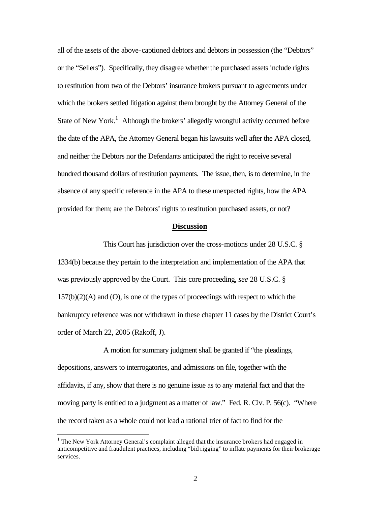all of the assets of the above-captioned debtors and debtors in possession (the "Debtors" or the "Sellers"). Specifically, they disagree whether the purchased assets include rights to restitution from two of the Debtors' insurance brokers pursuant to agreements under which the brokers settled litigation against them brought by the Attorney General of the State of New York.<sup>1</sup> Although the brokers' allegedly wrongful activity occurred before the date of the APA, the Attorney General began his lawsuits well after the APA closed, and neither the Debtors nor the Defendants anticipated the right to receive several hundred thousand dollars of restitution payments. The issue, then, is to determine, in the absence of any specific reference in the APA to these unexpected rights, how the APA provided for them; are the Debtors' rights to restitution purchased assets, or not?

## **Discussion**

This Court has jurisdiction over the cross-motions under 28 U.S.C. § 1334(b) because they pertain to the interpretation and implementation of the APA that was previously approved by the Court. This core proceeding, *see* 28 U.S.C. §  $157(b)(2)(A)$  and  $(O)$ , is one of the types of proceedings with respect to which the bankruptcy reference was not withdrawn in these chapter 11 cases by the District Court's order of March 22, 2005 (Rakoff, J).

A motion for summary judgment shall be granted if "the pleadings, depositions, answers to interrogatories, and admissions on file, together with the affidavits, if any, show that there is no genuine issue as to any material fact and that the moving party is entitled to a judgment as a matter of law." Fed. R. Civ. P. 56(c). "Where the record taken as a whole could not lead a rational trier of fact to find for the

 $<sup>1</sup>$  The New York Attorney General's complaint alleged that the insurance brokers had engaged in</sup> anticompetitive and fraudulent practices, including "bid rigging" to inflate payments for their brokerage services.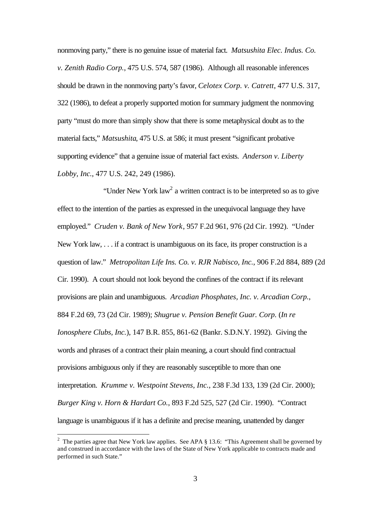nonmoving party," there is no genuine issue of material fact. *Matsushita Elec. Indus. Co. v. Zenith Radio Corp.*, 475 U.S. 574, 587 (1986). Although all reasonable inferences should be drawn in the nonmoving party's favor, *Celotex Corp. v. Catrett*, 477 U.S. 317, 322 (1986), to defeat a properly supported motion for summary judgment the nonmoving party "must do more than simply show that there is some metaphysical doubt as to the material facts," *Matsushita*, 475 U.S. at 586; it must present "significant probative supporting evidence" that a genuine issue of material fact exists. *Anderson v. Liberty Lobby, Inc.*, 477 U.S. 242, 249 (1986).

"Under New York law<sup>2</sup> a written contract is to be interpreted so as to give effect to the intention of the parties as expressed in the unequivocal language they have employed." *Cruden v. Bank of New York*, 957 F.2d 961, 976 (2d Cir. 1992). "Under New York law, . . . if a contract is unambiguous on its face, its proper construction is a question of law." *Metropolitan Life Ins. Co. v. RJR Nabisco, Inc.*, 906 F.2d 884, 889 (2d Cir. 1990). A court should not look beyond the confines of the contract if its relevant provisions are plain and unambiguous. *Arcadian Phosphates, Inc. v. Arcadian Corp.*, 884 F.2d 69, 73 (2d Cir. 1989); *Shugrue v. Pension Benefit Guar. Corp.* (*In re Ionosphere Clubs, Inc.*), 147 B.R. 855, 861-62 (Bankr. S.D.N.Y. 1992). Giving the words and phrases of a contract their plain meaning, a court should find contractual provisions ambiguous only if they are reasonably susceptible to more than one interpretation. *Krumme v. Westpoint Stevens, Inc.*, 238 F.3d 133, 139 (2d Cir. 2000); *Burger King v. Horn & Hardart Co.*, 893 F.2d 525, 527 (2d Cir. 1990). "Contract language is unambiguous if it has a definite and precise meaning, unattended by danger

<sup>&</sup>lt;sup>2</sup> The parties agree that New York law applies. See APA  $\S$  13.6: "This Agreement shall be governed by and construed in accordance with the laws of the State of New York applicable to contracts made and performed in such State."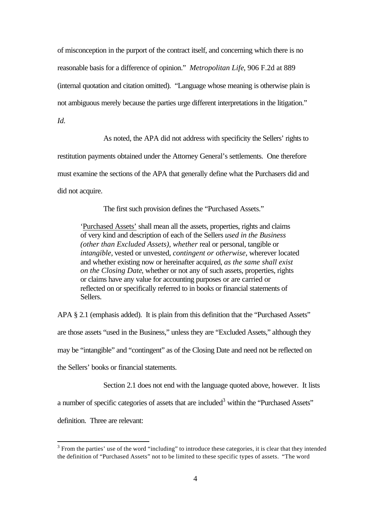of misconception in the purport of the contract itself, and concerning which there is no reasonable basis for a difference of opinion." *Metropolitan Life*, 906 F.2d at 889 (internal quotation and citation omitted). "Language whose meaning is otherwise plain is not ambiguous merely because the parties urge different interpretations in the litigation."

*Id.*

As noted, the APA did not address with specificity the Sellers' rights to restitution payments obtained under the Attorney General's settlements. One therefore must examine the sections of the APA that generally define what the Purchasers did and did not acquire.

The first such provision defines the "Purchased Assets."

'Purchased Assets' shall mean all the assets, properties, rights and claims of very kind and description of each of the Sellers *used in the Business (other than Excluded Assets), whether* real or personal, tangible or *intangible*, vested or unvested, *contingent or otherwise*, wherever located and whether existing now or hereinafter acquired, *as the same shall exist on the Closing Date*, whether or not any of such assets, properties, rights or claims have any value for accounting purposes or are carried or reflected on or specifically referred to in books or financial statements of Sellers.

APA § 2.1 (emphasis added). It is plain from this definition that the "Purchased Assets" are those assets "used in the Business," unless they are "Excluded Assets," although they may be "intangible" and "contingent" as of the Closing Date and need not be reflected on the Sellers' books or financial statements.

Section 2.1 does not end with the language quoted above, however. It lists

a number of specific categories of assets that are included<sup>3</sup> within the "Purchased Assets"

definition. Three are relevant:

 $3$  From the parties' use of the word "including" to introduce these categories, it is clear that they intended the definition of "Purchased Assets" not to be limited to these specific types of assets. "The word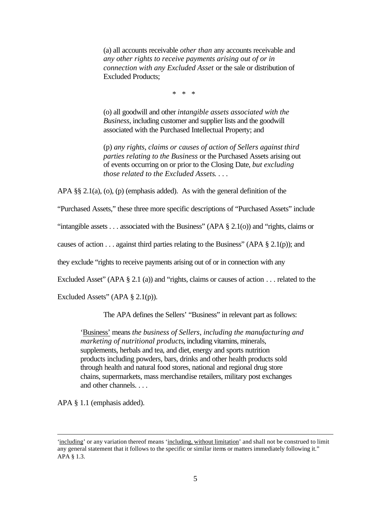(a) all accounts receivable *other than* any accounts receivable and *any other rights to receive payments arising out of or in connection with any Excluded Asset* or the sale or distribution of Excluded Products;

\* \* \*

(o) all goodwill and other *intangible assets associated with the Business*, including customer and supplier lists and the goodwill associated with the Purchased Intellectual Property; and

(p) *any rights, claims or causes of action of Sellers against third parties relating to the Business* or the Purchased Assets arising out of events occurring on or prior to the Closing Date, *but excluding those related to the Excluded Assets*. . . .

APA §§ 2.1(a), (o), (p) (emphasis added). As with the general definition of the

"Purchased Assets," these three more specific descriptions of "Purchased Assets" include

"intangible assets  $\dots$  associated with the Business" (APA  $\S$  2.1(o)) and "rights, claims or

causes of action . . . against third parties relating to the Business" (APA  $\S 2.1(p)$ ); and

they exclude "rights to receive payments arising out of or in connection with any

Excluded Asset" (APA  $\S 2.1$  (a)) and "rights, claims or causes of action . . . related to the

Excluded Assets" (APA  $\S$  2.1(p)).

The APA defines the Sellers' "Business" in relevant part as follows:

'Business' means *the business of Sellers, including the manufacturing and marketing of nutritional products*, including vitamins, minerals, supplements, herbals and tea, and diet, energy and sports nutrition products including powders, bars, drinks and other health products sold through health and natural food stores, national and regional drug store chains, supermarkets, mass merchandise retailers, military post exchanges and other channels. . . .

APA § 1.1 (emphasis added).

<sup>&#</sup>x27;including' or any variation thereof means 'including, without limitation' and shall not be construed to limit any general statement that it follows to the specific or similar items or matters immediately following it." APA § 1.3.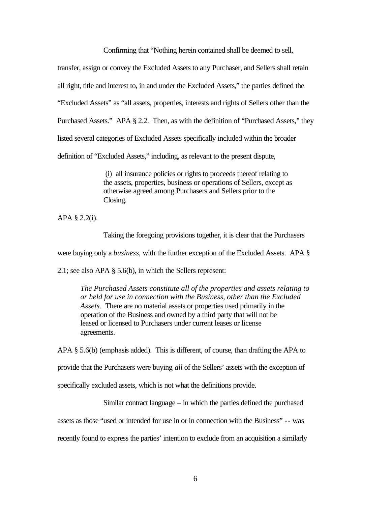Confirming that "Nothing herein contained shall be deemed to sell,

transfer, assign or convey the Excluded Assets to any Purchaser, and Sellers shall retain all right, title and interest to, in and under the Excluded Assets," the parties defined the "Excluded Assets" as "all assets, properties, interests and rights of Sellers other than the Purchased Assets." APA § 2.2. Then, as with the definition of "Purchased Assets," they listed several categories of Excluded Assets specifically included within the broader definition of "Excluded Assets," including, as relevant to the present dispute,

> (i) all insurance policies or rights to proceeds thereof relating to the assets, properties, business or operations of Sellers, except as otherwise agreed among Purchasers and Sellers prior to the Closing.

APA § 2.2(i).

Taking the foregoing provisions together, it is clear that the Purchasers

were buying only a *business*, with the further exception of the Excluded Assets. APA §

2.1; see also APA § 5.6(b), in which the Sellers represent:

*The Purchased Assets constitute all of the properties and assets relating to or held for use in connection with the Business, other than the Excluded Assets.* There are no material assets or properties used primarily in the operation of the Business and owned by a third party that will not be leased or licensed to Purchasers under current leases or license agreements.

APA § 5.6(b) (emphasis added). This is different, of course, than drafting the APA to provide that the Purchasers were buying *all* of the Sellers' assets with the exception of specifically excluded assets, which is not what the definitions provide.

Similar contract language – in which the parties defined the purchased

assets as those "used or intended for use in or in connection with the Business" -- was

recently found to express the parties' intention to exclude from an acquisition a similarly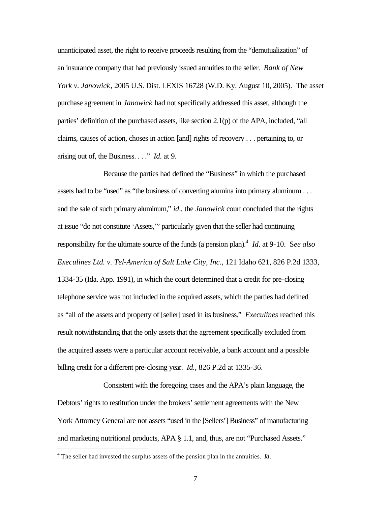unanticipated asset, the right to receive proceeds resulting from the "demutualization" of an insurance company that had previously issued annuities to the seller. *Bank of New York v. Janowick*, 2005 U.S. Dist. LEXIS 16728 (W.D. Ky. August 10, 2005). The asset purchase agreement in *Janowick* had not specifically addressed this asset, although the parties' definition of the purchased assets, like section 2.1(p) of the APA, included, "all claims, causes of action, choses in action [and] rights of recovery . . . pertaining to, or arising out of, the Business. . . ." *Id*. at 9.

Because the parties had defined the "Business" in which the purchased assets had to be "used" as "the business of converting alumina into primary aluminum . . . and the sale of such primary aluminum," *id*., the *Janowick* court concluded that the rights at issue "do not constitute 'Assets,'" particularly given that the seller had continuing responsibility for the ultimate source of the funds (a pension plan).<sup>4</sup> *Id*. at 9-10. See also *Execulines Ltd. v. Tel-America of Salt Lake City, Inc.*, 121 Idaho 621, 826 P.2d 1333, 1334-35 (Ida. App. 1991), in which the court determined that a credit for pre-closing telephone service was not included in the acquired assets, which the parties had defined as "all of the assets and property of [seller] used in its business." *Execulines* reached this result notwithstanding that the only assets that the agreement specifically excluded from the acquired assets were a particular account receivable, a bank account and a possible billing credit for a different pre-closing year. *Id.*, 826 P.2d at 1335-36.

Consistent with the foregoing cases and the APA's plain language, the Debtors' rights to restitution under the brokers' settlement agreements with the New York Attorney General are not assets "used in the [Sellers'] Business" of manufacturing and marketing nutritional products, APA § 1.1, and, thus, are not "Purchased Assets."

<sup>4</sup> The seller had invested the surplus assets of the pension plan in the annuities. *Id*.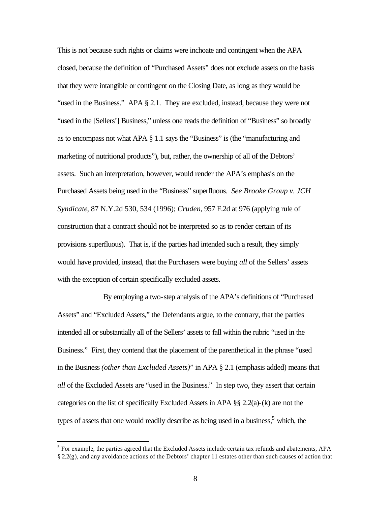This is not because such rights or claims were inchoate and contingent when the APA closed, because the definition of "Purchased Assets" does not exclude assets on the basis that they were intangible or contingent on the Closing Date, as long as they would be "used in the Business." APA § 2.1. They are excluded, instead, because they were not "used in the [Sellers'] Business," unless one reads the definition of "Business" so broadly as to encompass not what APA § 1.1 says the "Business" is (the "manufacturing and marketing of nutritional products"), but, rather, the ownership of all of the Debtors' assets. Such an interpretation, however, would render the APA's emphasis on the Purchased Assets being used in the "Business" superfluous. *See Brooke Group v. JCH Syndicate*, 87 N.Y.2d 530, 534 (1996); *Cruden*, 957 F.2d at 976 (applying rule of construction that a contract should not be interpreted so as to render certain of its provisions superfluous). That is, if the parties had intended such a result, they simply would have provided, instead, that the Purchasers were buying *all* of the Sellers' assets with the exception of certain specifically excluded assets.

By employing a two-step analysis of the APA's definitions of "Purchased Assets" and "Excluded Assets," the Defendants argue, to the contrary, that the parties intended all or substantially all of the Sellers' assets to fall within the rubric "used in the Business." First, they contend that the placement of the parenthetical in the phrase "used in the Business *(other than Excluded Assets)*" in APA § 2.1 (emphasis added) means that *all* of the Excluded Assets are "used in the Business." In step two, they assert that certain categories on the list of specifically Excluded Assets in APA §§ 2.2(a)-(k) are not the types of assets that one would readily describe as being used in a business,<sup>5</sup> which, the

 $<sup>5</sup>$  For example, the parties agreed that the Excluded Assets include certain tax refunds and abatements, APA</sup> § 2.2(g), and any avoidance actions of the Debtors' chapter 11 estates other than such causes of action that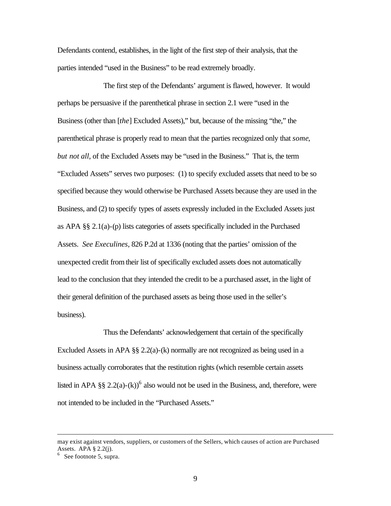Defendants contend, establishes, in the light of the first step of their analysis, that the parties intended "used in the Business" to be read extremely broadly.

The first step of the Defendants' argument is flawed, however. It would perhaps be persuasive if the parenthetical phrase in section 2.1 were "used in the Business (other than [*the*] Excluded Assets)," but, because of the missing "the," the parenthetical phrase is properly read to mean that the parties recognized only that *some*, *but not all*, of the Excluded Assets may be "used in the Business." That is, the term "Excluded Assets" serves two purposes: (1) to specify excluded assets that need to be so specified because they would otherwise be Purchased Assets because they are used in the Business, and (2) to specify types of assets expressly included in the Excluded Assets just as APA §§ 2.1(a)-(p) lists categories of assets specifically included in the Purchased Assets. *See Execulines*, 826 P.2d at 1336 (noting that the parties' omission of the unexpected credit from their list of specifically excluded assets does not automatically lead to the conclusion that they intended the credit to be a purchased asset, in the light of their general definition of the purchased assets as being those used in the seller's business).

Thus the Defendants' acknowledgement that certain of the specifically Excluded Assets in APA  $\S$  2.2(a)-(k) normally are not recognized as being used in a business actually corroborates that the restitution rights (which resemble certain assets listed in APA §§ 2.2(a)-(k))<sup>6</sup> also would not be used in the Business, and, therefore, were not intended to be included in the "Purchased Assets."

may exist against vendors, suppliers, or customers of the Sellers, which causes of action are Purchased Assets. APA § 2.2(j).

 $6$  See footnote 5, supra.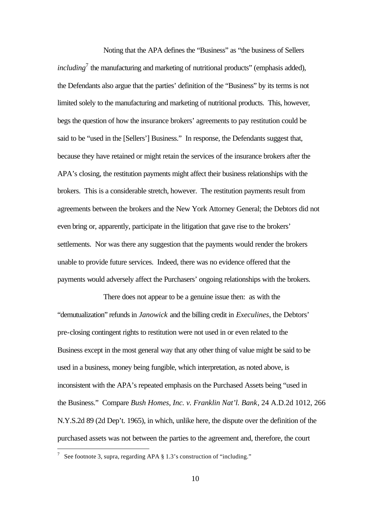Noting that the APA defines the "Business" as "the business of Sellers" *including*<sup>7</sup> the manufacturing and marketing of nutritional products" (emphasis added), the Defendants also argue that the parties' definition of the "Business" by its terms is not limited solely to the manufacturing and marketing of nutritional products. This, however, begs the question of how the insurance brokers' agreements to pay restitution could be said to be "used in the [Sellers'] Business." In response, the Defendants suggest that, because they have retained or might retain the services of the insurance brokers after the APA's closing, the restitution payments might affect their business relationships with the brokers. This is a considerable stretch, however. The restitution payments result from agreements between the brokers and the New York Attorney General; the Debtors did not even bring or, apparently, participate in the litigation that gave rise to the brokers' settlements. Nor was there any suggestion that the payments would render the brokers unable to provide future services. Indeed, there was no evidence offered that the payments would adversely affect the Purchasers' ongoing relationships with the brokers.

There does not appear to be a genuine issue then: as with the "demutualization" refunds in *Janowick* and the billing credit in *Execulines*, the Debtors' pre-closing contingent rights to restitution were not used in or even related to the Business except in the most general way that any other thing of value might be said to be used in a business, money being fungible, which interpretation, as noted above, is inconsistent with the APA's repeated emphasis on the Purchased Assets being "used in the Business." Compare *Bush Homes, Inc. v. Franklin Nat'l. Bank*, 24 A.D.2d 1012, 266 N.Y.S.2d 89 (2d Dep't. 1965), in which, unlike here, the dispute over the definition of the purchased assets was not between the parties to the agreement and, therefore, the court

<sup>&</sup>lt;sup>7</sup> See footnote 3, supra, regarding APA  $\S 1.3$ 's construction of "including."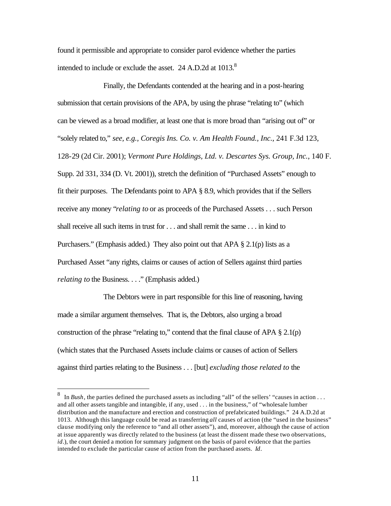found it permissible and appropriate to consider parol evidence whether the parties intended to include or exclude the asset. 24 A.D.2d at  $1013$ .<sup>8</sup>

Finally, the Defendants contended at the hearing and in a post-hearing submission that certain provisions of the APA, by using the phrase "relating to" (which can be viewed as a broad modifier, at least one that is more broad than "arising out of" or "solely related to," *see, e.g., Coregis Ins. Co. v. Am Health Found., Inc.*, 241 F.3d 123, 128-29 (2d Cir. 2001); *Vermont Pure Holdings, Ltd. v. Descartes Sys. Group, Inc.*, 140 F. Supp. 2d 331, 334 (D. Vt. 2001)), stretch the definition of "Purchased Assets" enough to fit their purposes. The Defendants point to APA § 8.9, which provides that if the Sellers receive any money "*relating to* or as proceeds of the Purchased Assets . . . such Person shall receive all such items in trust for . . . and shall remit the same . . . in kind to Purchasers." (Emphasis added.) They also point out that APA  $\S 2.1(p)$  lists as a Purchased Asset "any rights, claims or causes of action of Sellers against third parties *relating to* the Business. . . ." (Emphasis added.)

The Debtors were in part responsible for this line of reasoning, having made a similar argument themselves. That is, the Debtors, also urging a broad construction of the phrase "relating to," contend that the final clause of APA  $\S 2.1(p)$ (which states that the Purchased Assets include claims or causes of action of Sellers against third parties relating to the Business . . . [but] *excluding those related to* the

<sup>8</sup> In *Bush*, the parties defined the purchased assets as including "all" of the sellers' "causes in action . . . and all other assets tangible and intangible, if any, used . . . in the business," of "wholesale lumber distribution and the manufacture and erection and construction of prefabricated buildings." 24 A.D.2d at 1013. Although this language could be read as transferring *all* causes of action (the "used in the business" clause modifying only the reference to "and all other assets"), and, moreover, although the cause of action at issue apparently was directly related to the business (at least the dissent made these two observations, *id*.), the court denied a motion for summary judgment on the basis of parol evidence that the parties intended to exclude the particular cause of action from the purchased assets. *Id*.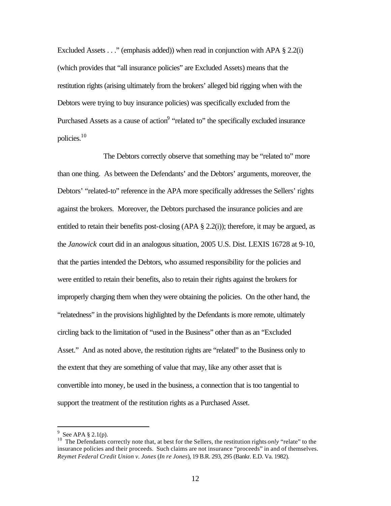Excluded Assets . . ." (emphasis added)) when read in conjunction with APA § 2.2(i) (which provides that "all insurance policies" are Excluded Assets) means that the restitution rights (arising ultimately from the brokers' alleged bid rigging when with the Debtors were trying to buy insurance policies) was specifically excluded from the Purchased Assets as a cause of action<sup>9</sup> "related to" the specifically excluded insurance policies.<sup>10</sup>

The Debtors correctly observe that something may be "related to" more than one thing. As between the Defendants' and the Debtors' arguments, moreover, the Debtors' "related-to" reference in the APA more specifically addresses the Sellers' rights against the brokers. Moreover, the Debtors purchased the insurance policies and are entitled to retain their benefits post-closing (APA § 2.2(i)); therefore, it may be argued, as the *Janowick* court did in an analogous situation, 2005 U.S. Dist. LEXIS 16728 at 9-10, that the parties intended the Debtors, who assumed responsibility for the policies and were entitled to retain their benefits, also to retain their rights against the brokers for improperly charging them when they were obtaining the policies. On the other hand, the "relatedness" in the provisions highlighted by the Defendants is more remote, ultimately circling back to the limitation of "used in the Business" other than as an "Excluded Asset." And as noted above, the restitution rights are "related" to the Business only to the extent that they are something of value that may, like any other asset that is convertible into money, be used in the business, a connection that is too tangential to support the treatment of the restitution rights as a Purchased Asset.

 $9$  See APA § 2.1(p).

<sup>&</sup>lt;sup>10</sup> The Defendants correctly note that, at best for the Sellers, the restitution rights *only* "relate" to the insurance policies and their proceeds. Such claims are not insurance "proceeds" in and of themselves. *Reymet Federal Credit Union v. Jones* (*In re Jones*), 19 B.R. 293, 295 (Bankr. E.D. Va. 1982).